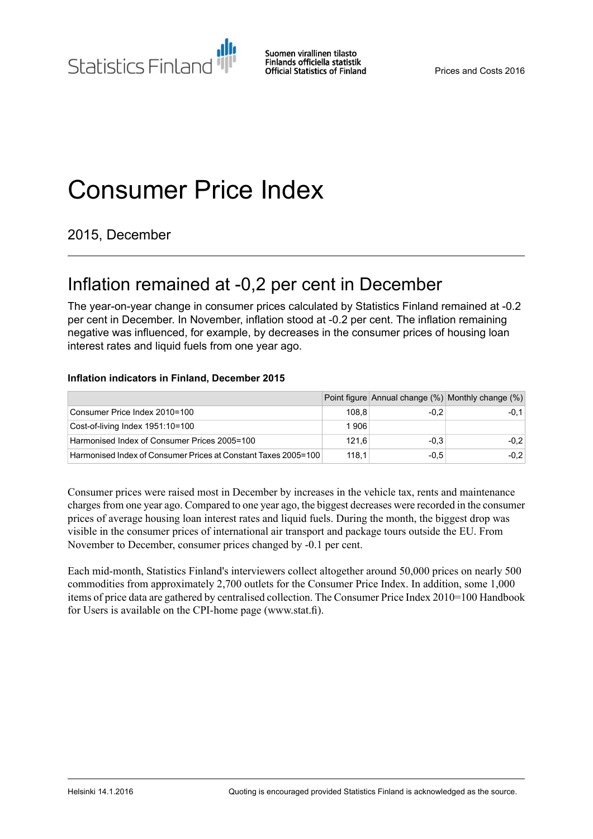**Statistics Finland** 

Suomen virallinen tilasto Finlands officiella statistik **Official Statistics of Finland** 

# Consumer Price Index

2015, December

# Inflation remained at -0,2 per cent in December

The year-on-year change in consumer prices calculated by Statistics Finland remained at -0.2 per cent in December. In November, inflation stood at -0.2 per cent. The inflation remaining negative was influenced, for example, by decreases in the consumer prices of housing loan interest rates and liquid fuels from one year ago.

#### **Inflation indicators in Finland, December 2015**

|                                                                |       |        | Point figure Annual change (%) Monthly change (%) |
|----------------------------------------------------------------|-------|--------|---------------------------------------------------|
| Consumer Price Index 2010=100                                  | 108.8 | $-0.2$ | $-0.1$                                            |
| Cost-of-living Index 1951 10=100                               | 1906  |        |                                                   |
| Harmonised Index of Consumer Prices 2005=100                   | 121.6 | $-0.3$ | $-0.2$                                            |
| Harmonised Index of Consumer Prices at Constant Taxes 2005=100 | 118.1 | $-0.5$ | $-0.2$                                            |

Consumer prices were raised most in December by increases in the vehicle tax, rents and maintenance chargesfrom one year ago. Compared to one year ago, the biggest decreases were recorded in the consumer prices of average housing loan interest rates and liquid fuels. During the month, the biggest drop was visible in the consumer prices of international air transport and package tours outside the EU. From November to December, consumer prices changed by -0.1 per cent.

Each mid-month, Statistics Finland's interviewers collect altogether around 50,000 prices on nearly 500 commodities from approximately 2,700 outlets for the Consumer Price Index. In addition, some 1,000 items of price data are gathered by centralised collection. The Consumer Price Index 2010=100 Handbook for Users is available on the CPI-home page (www.stat.fi).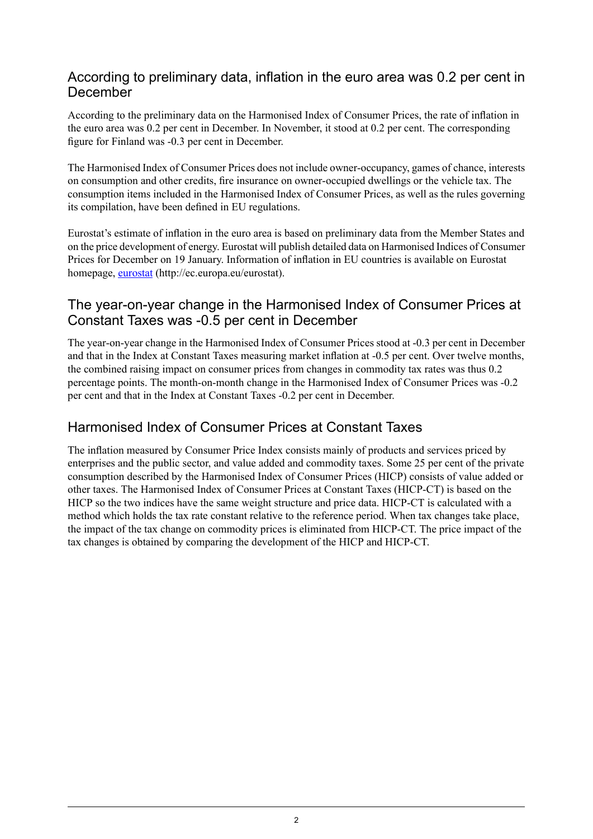### According to preliminary data, inflation in the euro area was 0.2 per cent in December

According to the preliminary data on the Harmonised Index of Consumer Prices, the rate of inflation in the euro area was 0.2 per cent in December. In November, it stood at 0.2 per cent. The corresponding figure for Finland was -0.3 per cent in December.

The Harmonised Index of Consumer Prices does not include owner-occupancy, games of chance, interests on consumption and other credits, fire insurance on owner-occupied dwellings or the vehicle tax. The consumption items included in the Harmonised Index of Consumer Prices, as well as the rules governing its compilation, have been defined in EU regulations.

Eurostat's estimate of inflation in the euro area is based on preliminary data from the Member States and on the price development of energy. Eurostat will publish detailed data on Harmonised Indices of Consumer Prices for December on 19 January. Information of inflation in EU countries is available on Eurostat homepage, [eurostat](http://epp.eurostat.ec.europa.eu/portal/page/portal/eurostat/home/) (http://ec.europa.eu/eurostat).

### The year-on-year change in the Harmonised Index of Consumer Prices at Constant Taxes was -0.5 per cent in December

The year-on-year change in the Harmonised Index of Consumer Prices stood at -0.3 per cent in December and that in the Index at Constant Taxes measuring market inflation at -0.5 per cent. Over twelve months, the combined raising impact on consumer prices from changes in commodity tax rates was thus 0.2 percentage points. The month-on-month change in the Harmonised Index of Consumer Prices was -0.2 per cent and that in the Index at Constant Taxes -0.2 per cent in December.

### Harmonised Index of Consumer Prices at Constant Taxes

The inflation measured by Consumer Price Index consists mainly of products and services priced by enterprises and the public sector, and value added and commodity taxes. Some 25 per cent of the private consumption described by the Harmonised Index of Consumer Prices (HICP) consists of value added or other taxes. The Harmonised Index of Consumer Prices at Constant Taxes (HICP-CT) is based on the HICP so the two indices have the same weight structure and price data. HICP-CT is calculated with a method which holds the tax rate constant relative to the reference period. When tax changes take place, the impact of the tax change on commodity prices is eliminated from HICP-CT. The price impact of the tax changes is obtained by comparing the development of the HICP and HICP-CT.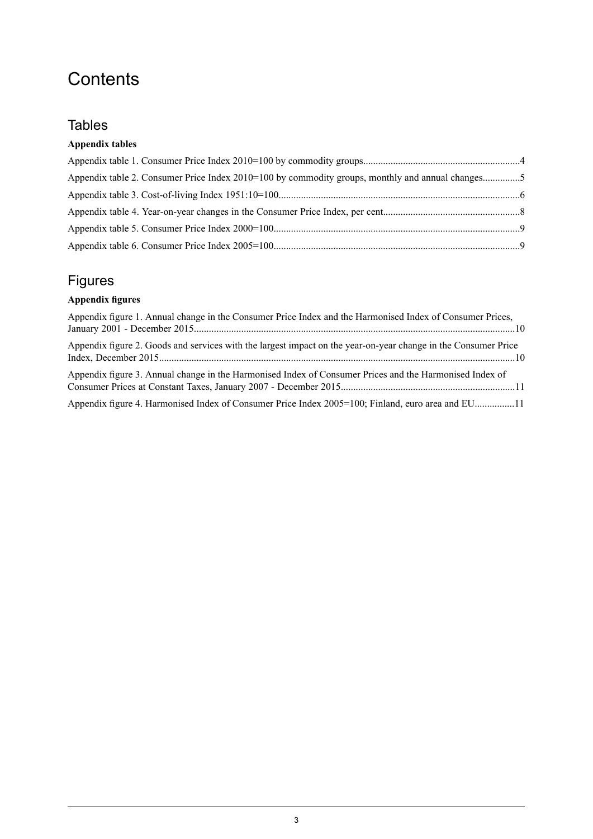# **Contents**

### **Tables**

### **Appendix tables**

| Appendix table 2. Consumer Price Index 2010=100 by commodity groups, monthly and annual changes5 |  |
|--------------------------------------------------------------------------------------------------|--|
|                                                                                                  |  |
|                                                                                                  |  |
|                                                                                                  |  |
|                                                                                                  |  |

### Figures

### **Appendix figures**

| Appendix figure 1. Annual change in the Consumer Price Index and the Harmonised Index of Consumer Prices,      |  |
|----------------------------------------------------------------------------------------------------------------|--|
| Appendix figure 2. Goods and services with the largest impact on the year-on-year change in the Consumer Price |  |
| Appendix figure 3. Annual change in the Harmonised Index of Consumer Prices and the Harmonised Index of        |  |
| Appendix figure 4. Harmonised Index of Consumer Price Index 2005=100; Finland, euro area and EU11              |  |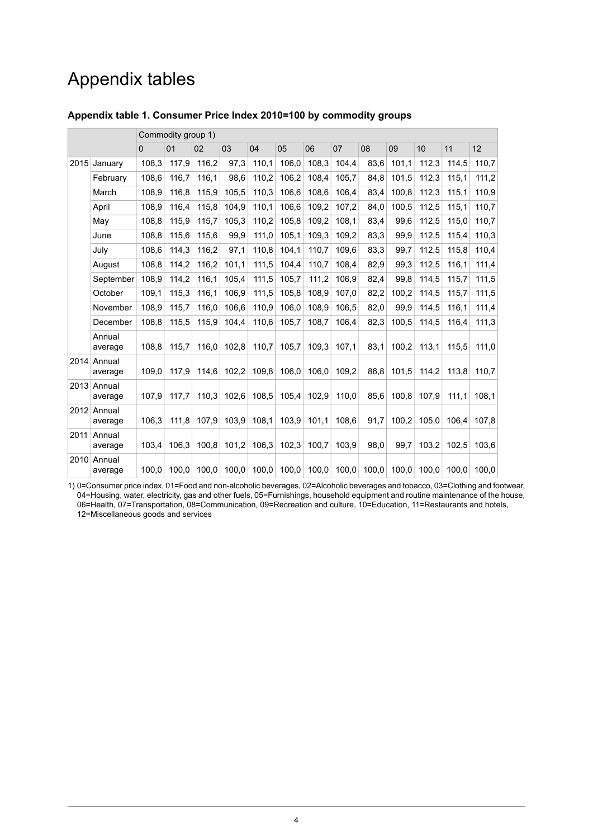## Appendix tables

|      |                        | Commodity group 1) |       |       |       |               |       |       |       |       |       |       |       |       |
|------|------------------------|--------------------|-------|-------|-------|---------------|-------|-------|-------|-------|-------|-------|-------|-------|
|      |                        | $\Omega$           | 01    | 02    | 03    | 04            | 05    | 06    | 07    | 08    | 09    | 10    | 11    | 12    |
| 2015 | January                | 108,3              | 117,9 | 116,2 | 97,3  | 110,1         | 106,0 | 108,3 | 104,4 | 83,6  | 101,1 | 112,3 | 114,5 | 110,7 |
|      | February               | 108,6              | 116,7 | 116,1 | 98,6  | 110,2         | 106,2 | 108,4 | 105,7 | 84,8  | 101,5 | 112,3 | 115,1 | 111,2 |
|      | March                  | 108,9              | 116,8 | 115,9 | 105,5 | 110,3         | 106,6 | 108,6 | 106,4 | 83,4  | 100,8 | 112.3 | 115,1 | 110,9 |
|      | April                  | 108,9              | 116,4 | 115,8 | 104,9 | 110,1         | 106,6 | 109,2 | 107,2 | 84,0  | 100,5 | 112,5 | 115,1 | 110,7 |
|      | May                    | 108,8              | 115,9 | 115,7 | 105,3 | 110,2         | 105,8 | 109,2 | 108,1 | 83,4  | 99,6  | 112,5 | 115,0 | 110,7 |
|      | June                   | 108,8              | 115,6 | 115,6 | 99,9  | 111,0         | 105,1 | 109,3 | 109,2 | 83,3  | 99,9  | 112,5 | 115,4 | 110,3 |
|      | July                   | 108,6              | 114,3 | 116,2 | 97,1  | 110,8         | 104,1 | 110,7 | 109,6 | 83,3  | 99,7  | 112,5 | 115,8 | 110,4 |
|      | August                 | 108,8              | 114,2 | 116,2 | 101,1 | 111,5         | 104,4 | 110,7 | 108,4 | 82,9  | 99,3  | 112,5 | 116,1 | 111,4 |
|      | September              | 108,9              | 114,2 | 116,1 | 105.4 | 111.5         | 105,7 | 111,2 | 106.9 | 82,4  | 99,8  | 114,5 | 115,7 | 111,5 |
|      | October                | 109,1              | 115,3 | 116,1 | 106,9 | 111,5         | 105,8 | 108,9 | 107,0 | 82,2  | 100,2 | 114,5 | 115,7 | 111,5 |
|      | November               | 108,9              | 115,7 | 116,0 | 106,6 | 110,9         | 106,0 | 108,9 | 106,5 | 82,0  | 99,9  | 114,5 | 116,1 | 111,4 |
|      | December               | 108,8              | 115,5 | 115,9 | 104,4 | 110,6         | 105,7 | 108,7 | 106,4 | 82,3  | 100,5 | 114,5 | 116.4 | 111,3 |
|      | Annual<br>average      | 108.8              | 115,7 | 116,0 | 102,8 | 110,7         | 105,7 | 109,3 | 107,1 | 83.1  | 100.2 | 113.1 | 115.5 | 111,0 |
| 2014 | Annual<br>average      | 109.0              | 117.9 | 114.6 | 102.2 | 109.8         | 106,0 | 106.0 | 109.2 | 86.8  | 101.5 | 114.2 | 113.8 | 110.7 |
| 2013 | Annual<br>average      | 107,9              | 117,7 | 110.3 | 102,6 | 108,5         | 105,4 | 102,9 | 110,0 | 85,6  | 100,8 | 107,9 | 111.1 | 108.1 |
|      | 2012 Annual<br>average | 106,3              | 111,8 | 107,9 | 103,9 | 108,1         | 103.9 | 101,1 | 108,6 | 91,7  | 100,2 | 105,0 | 106.4 | 107,8 |
| 2011 | Annual<br>average      | 103,4              | 106.3 | 100,8 | 101,2 | 106,3         | 102,3 | 100,7 | 103,9 | 98,0  | 99,7  | 103,2 | 102,5 | 103,6 |
| 2010 | Annual<br>average      | 100,0              | 100.0 | 100,0 |       | $100,0$ 100,0 | 100,0 | 100,0 | 100,0 | 100,0 | 100,0 | 100,0 | 100.0 | 100,0 |

#### <span id="page-3-0"></span>**Appendix table 1. Consumer Price Index 2010=100 by commodity groups**

1) 0=Consumer price index, 01=Food and non-alcoholic beverages, 02=Alcoholic beverages and tobacco, 03=Clothing and footwear, 04=Housing, water, electricity, gas and other fuels, 05=Furnishings, household equipment and routine maintenance of the house, 06=Health, 07=Transportation, 08=Communication, 09=Recreation and culture, 10=Education, 11=Restaurants and hotels, 12=Miscellaneous goods and services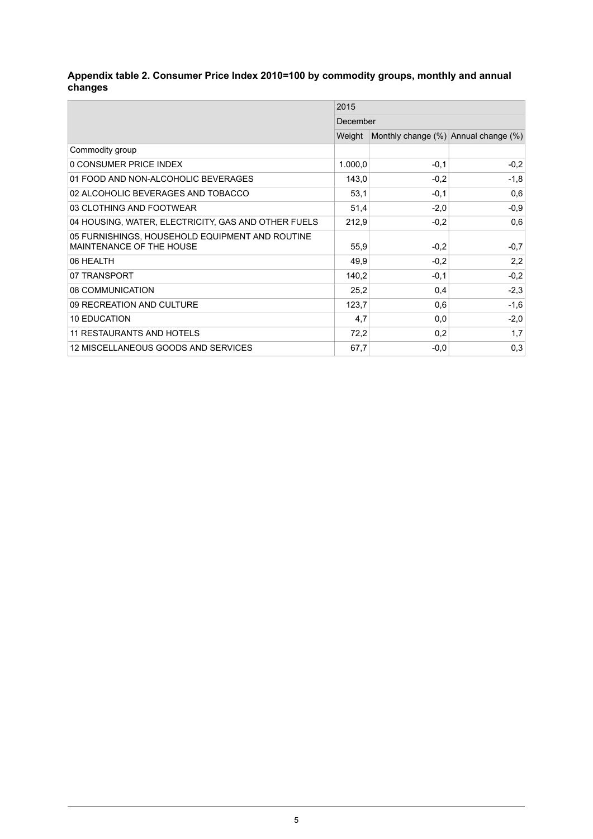#### <span id="page-4-0"></span>**Appendix table 2. Consumer Price Index 2010=100 by commodity groups, monthly and annual changes**

|                                                                             | 2015     |                                      |        |  |  |  |
|-----------------------------------------------------------------------------|----------|--------------------------------------|--------|--|--|--|
|                                                                             | December |                                      |        |  |  |  |
|                                                                             | Weight   | Monthly change (%) Annual change (%) |        |  |  |  |
| Commodity group                                                             |          |                                      |        |  |  |  |
| 0 CONSUMER PRICE INDEX                                                      | 1.000,0  | $-0,1$                               | $-0,2$ |  |  |  |
| 01 FOOD AND NON-ALCOHOLIC BEVERAGES                                         | 143,0    | $-0,2$                               | $-1,8$ |  |  |  |
| 02 ALCOHOLIC BEVERAGES AND TOBACCO                                          | 53.1     | $-0,1$                               | 0,6    |  |  |  |
| 03 CLOTHING AND FOOTWEAR                                                    | 51,4     | $-2,0$                               | $-0,9$ |  |  |  |
| 04 HOUSING, WATER, ELECTRICITY, GAS AND OTHER FUELS                         | 212,9    | $-0,2$                               | 0,6    |  |  |  |
| 05 FURNISHINGS, HOUSEHOLD EQUIPMENT AND ROUTINE<br>MAINTENANCE OF THE HOUSE | 55,9     | $-0,2$                               | $-0,7$ |  |  |  |
| 06 HEALTH                                                                   | 49,9     | $-0,2$                               | 2,2    |  |  |  |
| 07 TRANSPORT                                                                | 140,2    | $-0.1$                               | $-0,2$ |  |  |  |
| 08 COMMUNICATION                                                            | 25,2     | 0,4                                  | $-2,3$ |  |  |  |
| 09 RECREATION AND CULTURE                                                   | 123,7    | 0,6                                  | $-1,6$ |  |  |  |
| <b>10 EDUCATION</b>                                                         | 4,7      | 0,0                                  | $-2,0$ |  |  |  |
| 11 RESTAURANTS AND HOTELS                                                   | 72,2     | 0,2                                  | 1,7    |  |  |  |
| 12 MISCELLANEOUS GOODS AND SERVICES                                         | 67,7     | $-0.0$                               | 0,3    |  |  |  |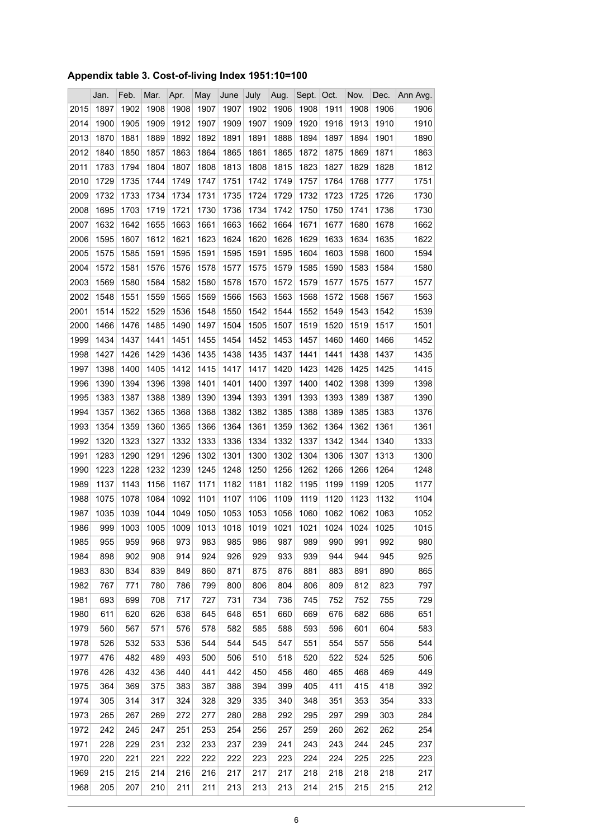### <span id="page-5-0"></span>**Appendix table 3. Cost-of-living Index 1951:10=100**

|      | Jan. | Feb. | Mar. | Apr. | May  | June | July | Aug. | Sept. | Oct. | Nov. | Dec. | Ann Avg. |
|------|------|------|------|------|------|------|------|------|-------|------|------|------|----------|
| 2015 | 1897 | 1902 | 1908 | 1908 | 1907 | 1907 | 1902 | 1906 | 1908  | 1911 | 1908 | 1906 | 1906     |
| 2014 | 1900 | 1905 | 1909 | 1912 | 1907 | 1909 | 1907 | 1909 | 1920  | 1916 | 1913 | 1910 | 1910     |
| 2013 | 1870 | 1881 | 1889 | 1892 | 1892 | 1891 | 1891 | 1888 | 1894  | 1897 | 1894 | 1901 | 1890     |
| 2012 | 1840 | 1850 | 1857 | 1863 | 1864 | 1865 | 1861 | 1865 | 1872  | 1875 | 1869 | 1871 | 1863     |
| 2011 | 1783 | 1794 | 1804 | 1807 | 1808 | 1813 | 1808 | 1815 | 1823  | 1827 | 1829 | 1828 | 1812     |
| 2010 | 1729 | 1735 | 1744 | 1749 | 1747 | 1751 | 1742 | 1749 | 1757  | 1764 | 1768 | 1777 | 1751     |
| 2009 | 1732 | 1733 | 1734 | 1734 | 1731 | 1735 | 1724 | 1729 | 1732  | 1723 | 1725 | 1726 | 1730     |
| 2008 | 1695 | 1703 | 1719 | 1721 | 1730 | 1736 | 1734 | 1742 | 1750  | 1750 | 1741 | 1736 | 1730     |
| 2007 | 1632 | 1642 | 1655 | 1663 | 1661 | 1663 | 1662 | 1664 | 1671  | 1677 | 1680 | 1678 | 1662     |
| 2006 | 1595 | 1607 | 1612 | 1621 | 1623 | 1624 | 1620 | 1626 | 1629  | 1633 | 1634 | 1635 | 1622     |
| 2005 | 1575 | 1585 | 1591 | 1595 | 1591 | 1595 | 1591 | 1595 | 1604  | 1603 | 1598 | 1600 | 1594     |
| 2004 | 1572 | 1581 | 1576 | 1576 | 1578 | 1577 | 1575 | 1579 | 1585  | 1590 | 1583 | 1584 | 1580     |
| 2003 | 1569 | 1580 | 1584 | 1582 | 1580 | 1578 | 1570 | 1572 | 1579  | 1577 | 1575 | 1577 | 1577     |
| 2002 | 1548 | 1551 | 1559 | 1565 | 1569 | 1566 | 1563 | 1563 | 1568  | 1572 | 1568 | 1567 | 1563     |
| 2001 | 1514 | 1522 | 1529 | 1536 | 1548 | 1550 | 1542 | 1544 | 1552  | 1549 | 1543 | 1542 | 1539     |
| 2000 | 1466 | 1476 | 1485 | 1490 | 1497 | 1504 | 1505 | 1507 | 1519  | 1520 | 1519 | 1517 | 1501     |
| 1999 | 1434 | 1437 | 1441 | 1451 | 1455 | 1454 | 1452 | 1453 | 1457  | 1460 | 1460 | 1466 | 1452     |
| 1998 | 1427 | 1426 | 1429 | 1436 | 1435 | 1438 | 1435 | 1437 | 1441  | 1441 | 1438 | 1437 | 1435     |
| 1997 | 1398 | 1400 | 1405 | 1412 | 1415 | 1417 | 1417 | 1420 | 1423  | 1426 | 1425 | 1425 | 1415     |
| 1996 | 1390 | 1394 | 1396 | 1398 | 1401 | 1401 | 1400 | 1397 | 1400  | 1402 | 1398 | 1399 | 1398     |
| 1995 | 1383 | 1387 | 1388 | 1389 | 1390 | 1394 | 1393 | 1391 | 1393  | 1393 | 1389 | 1387 | 1390     |
| 1994 | 1357 | 1362 | 1365 | 1368 | 1368 | 1382 | 1382 | 1385 | 1388  | 1389 | 1385 | 1383 | 1376     |
| 1993 | 1354 | 1359 | 1360 | 1365 | 1366 | 1364 | 1361 | 1359 | 1362  | 1364 | 1362 | 1361 | 1361     |
| 1992 | 1320 | 1323 | 1327 | 1332 | 1333 | 1336 | 1334 | 1332 | 1337  | 1342 | 1344 | 1340 | 1333     |
| 1991 | 1283 | 1290 | 1291 | 1296 | 1302 | 1301 | 1300 | 1302 | 1304  | 1306 | 1307 | 1313 | 1300     |
| 1990 | 1223 | 1228 | 1232 | 1239 | 1245 | 1248 | 1250 | 1256 | 1262  | 1266 | 1266 | 1264 | 1248     |
| 1989 | 1137 | 1143 | 1156 | 1167 | 1171 | 1182 | 1181 | 1182 | 1195  | 1199 | 1199 | 1205 | 1177     |
| 1988 | 1075 | 1078 | 1084 | 1092 | 1101 | 1107 | 1106 | 1109 | 1119  | 1120 | 1123 | 1132 | 1104     |
| 1987 | 1035 | 1039 | 1044 | 1049 | 1050 | 1053 | 1053 | 1056 | 1060  | 1062 | 1062 | 1063 | 1052     |
| 1986 | 999  | 1003 | 1005 | 1009 | 1013 | 1018 | 1019 | 1021 | 1021  | 1024 | 1024 | 1025 | 1015     |
| 1985 | 955  | 959  | 968  | 973  | 983  | 985  | 986  | 987  | 989   | 990  | 991  | 992  | 980      |
| 1984 | 898  | 902  | 908  | 914  | 924  | 926  | 929  | 933  | 939   | 944  | 944  | 945  | 925      |
| 1983 | 830  | 834  | 839  | 849  | 860  | 871  | 875  | 876  | 881   | 883  | 891  | 890  | 865      |
| 1982 | 767  | 771  | 780  | 786  | 799  | 800  | 806  | 804  | 806   | 809  | 812  | 823  | 797      |
| 1981 | 693  | 699  | 708  | 717  | 727  | 731  | 734  | 736  | 745   | 752  | 752  | 755  | 729      |
| 1980 | 611  | 620  | 626  | 638  | 645  | 648  | 651  | 660  | 669   | 676  | 682  | 686  | 651      |
| 1979 | 560  | 567  | 571  | 576  | 578  | 582  | 585  | 588  | 593   | 596  | 601  | 604  | 583      |
| 1978 | 526  | 532  | 533  | 536  | 544  | 544  | 545  | 547  | 551   | 554  | 557  | 556  | 544      |
| 1977 | 476  | 482  | 489  | 493  | 500  | 506  | 510  | 518  | 520   | 522  | 524  | 525  | 506      |
| 1976 | 426  | 432  | 436  | 440  | 441  | 442  | 450  | 456  | 460   | 465  | 468  | 469  | 449      |
| 1975 | 364  | 369  | 375  | 383  | 387  | 388  | 394  | 399  | 405   | 411  | 415  | 418  | 392      |
| 1974 | 305  | 314  | 317  | 324  | 328  | 329  | 335  | 340  | 348   | 351  | 353  | 354  | 333      |
| 1973 | 265  | 267  | 269  | 272  | 277  | 280  | 288  | 292  | 295   | 297  | 299  | 303  | 284      |
| 1972 | 242  | 245  | 247  | 251  | 253  | 254  | 256  | 257  | 259   | 260  | 262  | 262  | 254      |
| 1971 | 228  | 229  | 231  | 232  | 233  | 237  | 239  | 241  | 243   | 243  | 244  | 245  | 237      |
| 1970 | 220  | 221  | 221  | 222  | 222  | 222  | 223  | 223  | 224   | 224  | 225  | 225  | 223      |
| 1969 | 215  | 215  | 214  | 216  | 216  | 217  | 217  | 217  | 218   | 218  | 218  | 218  | 217      |
| 1968 | 205  | 207  | 210  | 211  | 211  | 213  | 213  | 213  | 214   | 215  | 215  | 215  | 212      |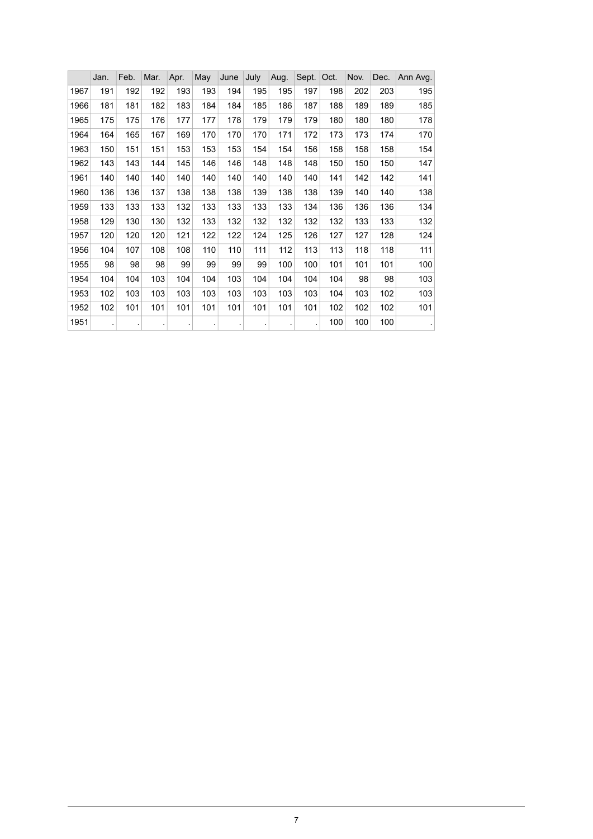|      | Jan. | Feb. | Mar. | Apr. | May | June | July                 | Aug. | Sept. | Oct. | Nov. | Dec. | Ann Avg. |
|------|------|------|------|------|-----|------|----------------------|------|-------|------|------|------|----------|
| 1967 | 191  | 192  | 192  | 193  | 193 | 194  | 195                  | 195  | 197   | 198  | 202  | 203  | 195      |
| 1966 | 181  | 181  | 182  | 183  | 184 | 184  | 185                  | 186  | 187   | 188  | 189  | 189  | 185      |
| 1965 | 175  | 175  | 176  | 177  | 177 | 178  | 179                  | 179  | 179   | 180  | 180  | 180  | 178      |
| 1964 | 164  | 165  | 167  | 169  | 170 | 170  | 170                  | 171  | 172   | 173  | 173  | 174  | 170      |
| 1963 | 150  | 151  | 151  | 153  | 153 | 153  | 154                  | 154  | 156   | 158  | 158  | 158  | 154      |
| 1962 | 143  | 143  | 144  | 145  | 146 | 146  | 148                  | 148  | 148   | 150  | 150  | 150  | 147      |
| 1961 | 140  | 140  | 140  | 140  | 140 | 140  | 140                  | 140  | 140   | 141  | 142  | 142  | 141      |
| 1960 | 136  | 136  | 137  | 138  | 138 | 138  | 139                  | 138  | 138   | 139  | 140  | 140  | 138      |
| 1959 | 133  | 133  | 133  | 132  | 133 | 133  | 133                  | 133  | 134   | 136  | 136  | 136  | 134      |
| 1958 | 129  | 130  | 130  | 132  | 133 | 132  | 132                  | 132  | 132   | 132  | 133  | 133  | 132      |
| 1957 | 120  | 120  | 120  | 121  | 122 | 122  | 124                  | 125  | 126   | 127  | 127  | 128  | 124      |
| 1956 | 104  | 107  | 108  | 108  | 110 | 110  | 111                  | 112  | 113   | 113  | 118  | 118  | 111      |
| 1955 | 98   | 98   | 98   | 99   | 99  | 99   | 99                   | 100  | 100   | 101  | 101  | 101  | 100      |
| 1954 | 104  | 104  | 103  | 104  | 104 | 103  | 104                  | 104  | 104   | 104  | 98   | 98   | 103      |
| 1953 | 102  | 103  | 103  | 103  | 103 | 103  | 103                  | 103  | 103   | 104  | 103  | 102  | 103      |
| 1952 | 102  | 101  | 101  | 101  | 101 | 101  | 101                  | 101  | 101   | 102  | 102  | 102  | 101      |
| 1951 |      | ٠    |      |      |     |      | $\ddot{\phantom{0}}$ |      |       | 100  | 100  | 100  |          |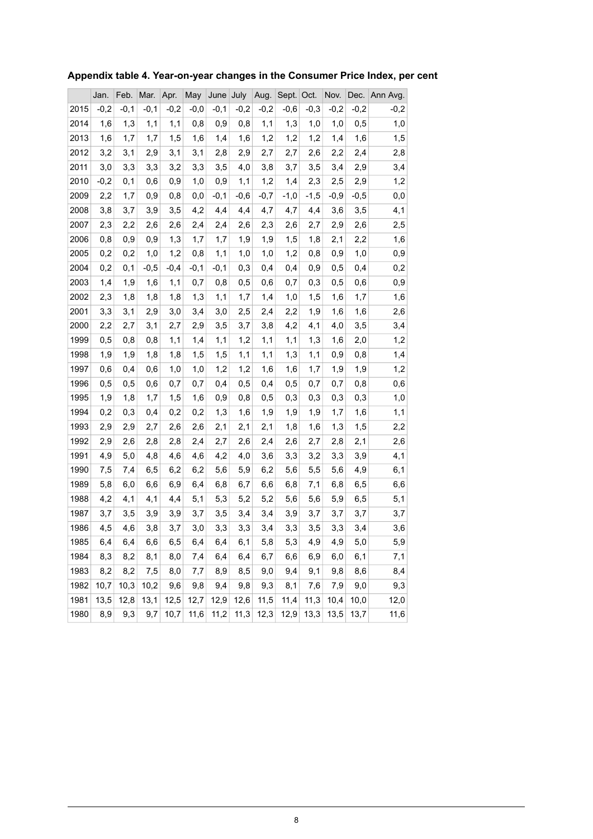|      | Jan.   | Feb.   | Mar.   | Apr.   | May    | June   | July   | Aug.   | Sept.  | Oct.   | Nov.   | Dec.   | Ann Avg.     |
|------|--------|--------|--------|--------|--------|--------|--------|--------|--------|--------|--------|--------|--------------|
| 2015 | $-0,2$ | $-0,1$ | $-0,1$ | $-0,2$ | $-0,0$ | $-0,1$ | $-0,2$ | $-0,2$ | $-0,6$ | $-0,3$ | $-0,2$ | $-0,2$ | $-0,2$       |
| 2014 | 1,6    | 1,3    | 1,1    | 1,1    | 0,8    | 0,9    | 0,8    | 1,1    | 1,3    | 1,0    | 1,0    | 0,5    | 1,0          |
| 2013 | 1,6    | 1,7    | 1,7    | 1,5    | 1,6    | 1,4    | 1,6    | 1,2    | 1,2    | 1,2    | 1,4    | 1,6    | 1,5          |
| 2012 | 3,2    | 3,1    | 2,9    | 3,1    | 3,1    | 2,8    | 2,9    | 2,7    | 2,7    | 2,6    | 2,2    | 2,4    | 2,8          |
| 2011 | 3,0    | 3,3    | 3,3    | 3,2    | 3,3    | 3,5    | 4,0    | 3,8    | 3,7    | 3,5    | 3,4    | 2,9    | 3,4          |
| 2010 | $-0,2$ | 0,1    | 0,6    | 0,9    | 1,0    | 0,9    | 1,1    | 1,2    | 1,4    | 2,3    | 2,5    | 2,9    | 1,2          |
| 2009 | 2,2    | 1,7    | 0,9    | 0,8    | 0,0    | $-0,1$ | $-0,6$ | $-0,7$ | $-1,0$ | $-1,5$ | $-0,9$ | $-0,5$ | $_{\rm 0,0}$ |
| 2008 | 3,8    | 3,7    | 3,9    | 3,5    | 4,2    | 4,4    | 4,4    | 4,7    | 4,7    | 4,4    | 3,6    | 3,5    | 4,1          |
| 2007 | 2,3    | 2,2    | 2,6    | 2,6    | 2,4    | 2,4    | 2,6    | 2,3    | 2,6    | 2,7    | 2,9    | 2,6    | 2,5          |
| 2006 | 0,8    | 0,9    | 0,9    | 1,3    | 1,7    | 1,7    | 1,9    | 1,9    | 1,5    | 1,8    | 2,1    | 2,2    | 1,6          |
| 2005 | 0,2    | 0,2    | 1,0    | 1,2    | 0,8    | 1,1    | 1,0    | 1,0    | 1,2    | 0,8    | 0,9    | 1,0    | 0,9          |
| 2004 | 0,2    | 0,1    | $-0,5$ | $-0,4$ | $-0,1$ | $-0,1$ | 0,3    | 0,4    | 0,4    | 0,9    | 0,5    | 0,4    | 0,2          |
| 2003 | 1,4    | 1,9    | 1,6    | 1,1    | 0,7    | 0,8    | 0,5    | 0,6    | 0,7    | 0,3    | 0,5    | 0,6    | $_{0,9}$     |
| 2002 | 2,3    | 1,8    | 1,8    | 1,8    | 1,3    | 1,1    | 1,7    | 1,4    | 1,0    | 1,5    | 1,6    | 1,7    | 1,6          |
| 2001 | 3,3    | 3,1    | 2,9    | 3,0    | 3,4    | 3,0    | 2,5    | 2,4    | 2,2    | 1,9    | 1,6    | 1,6    | 2,6          |
| 2000 | 2,2    | 2,7    | 3,1    | 2,7    | 2,9    | 3,5    | 3,7    | 3,8    | 4,2    | 4,1    | 4,0    | 3,5    | 3,4          |
| 1999 | 0,5    | 0,8    | 0,8    | 1,1    | 1,4    | 1,1    | 1,2    | 1,1    | 1,1    | 1,3    | 1,6    | 2,0    | 1,2          |
| 1998 | 1,9    | 1,9    | 1,8    | 1,8    | 1,5    | 1,5    | 1,1    | 1,1    | 1,3    | 1,1    | 0,9    | 0,8    | 1,4          |
| 1997 | 0,6    | 0,4    | 0,6    | 1,0    | 1,0    | 1,2    | 1,2    | 1,6    | 1,6    | 1,7    | 1,9    | 1,9    | 1,2          |
| 1996 | 0,5    | 0,5    | 0,6    | 0,7    | 0,7    | 0,4    | 0,5    | 0,4    | 0,5    | 0,7    | 0,7    | 0,8    | 0,6          |
| 1995 | 1,9    | 1,8    | 1,7    | 1,5    | 1,6    | 0,9    | 0,8    | 0,5    | 0,3    | 0,3    | 0,3    | 0,3    | $1,0$        |
| 1994 | 0,2    | 0,3    | 0,4    | 0,2    | 0,2    | 1,3    | 1,6    | 1,9    | 1,9    | 1,9    | 1,7    | 1,6    | 1,1          |
| 1993 | 2,9    | 2,9    | 2,7    | 2,6    | 2,6    | 2,1    | 2,1    | 2,1    | 1,8    | 1,6    | 1,3    | 1,5    | 2,2          |
| 1992 | 2,9    | 2,6    | 2,8    | 2,8    | 2,4    | 2,7    | 2,6    | 2,4    | 2,6    | 2,7    | 2,8    | 2,1    | 2,6          |
| 1991 | 4,9    | 5,0    | 4,8    | 4,6    | 4,6    | 4,2    | 4,0    | 3,6    | 3,3    | 3,2    | 3,3    | 3,9    | 4,1          |
| 1990 | 7,5    | 7,4    | 6,5    | 6,2    | 6,2    | 5,6    | 5,9    | 6,2    | 5,6    | 5,5    | 5,6    | 4,9    | 6,1          |
| 1989 | 5,8    | 6,0    | 6,6    | 6,9    | 6,4    | 6,8    | 6,7    | 6,6    | 6,8    | 7,1    | 6,8    | 6, 5   | 6,6          |
| 1988 | 4,2    | 4,1    | 4,1    | 4,4    | 5,1    | 5,3    | 5,2    | 5,2    | 5,6    | 5,6    | 5,9    | 6,5    | 5,1          |
| 1987 | 3,7    | 3,5    | 3,9    | 3,9    | 3,7    | 3,5    | 3,4    | 3,4    | 3,9    | 3,7    | 3,7    | 3,7    | 3,7          |
| 1986 | 4,5    | 4,6    | 3,8    | 3,7    | 3,0    | 3,3    | 3,3    | 3,4    | 3,3    | 3,5    | 3,3    | 3,4    | 3,6          |
| 1985 | 6,4    | 6,4    | 6,6    | 6,5    | 6,4    | 6,4    | 6,1    | 5,8    | 5,3    | 4,9    | 4,9    | 5,0    | 5,9          |
| 1984 | 8,3    | 8,2    | 8,1    | 8,0    | 7,4    | 6,4    | 6,4    | 6,7    | 6,6    | 6,9    | 6,0    | 6,1    | 7,1          |
| 1983 | 8,2    | 8,2    | 7,5    | 8,0    | 7,7    | 8,9    | 8,5    | 9,0    | 9,4    | 9,1    | 9,8    | 8,6    | 8,4          |
| 1982 | 10,7   | 10,3   | 10,2   | 9,6    | 9,8    | 9,4    | 9,8    | 9,3    | 8,1    | 7,6    | 7,9    | 9,0    | 9,3          |
| 1981 | 13,5   | 12,8   | 13,1   | 12,5   | 12,7   | 12,9   | 12,6   | 11,5   | 11,4   | 11,3   | 10,4   | 10,0   | 12,0         |
| 1980 | 8,9    | 9,3    | 9,7    | 10,7   | 11,6   | 11,2   | 11,3   | 12,3   | 12,9   | 13,3   | 13,5   | 13,7   | 11,6         |

### <span id="page-7-0"></span>**Appendix table 4. Year-on-year changes in the Consumer Price Index, per cent**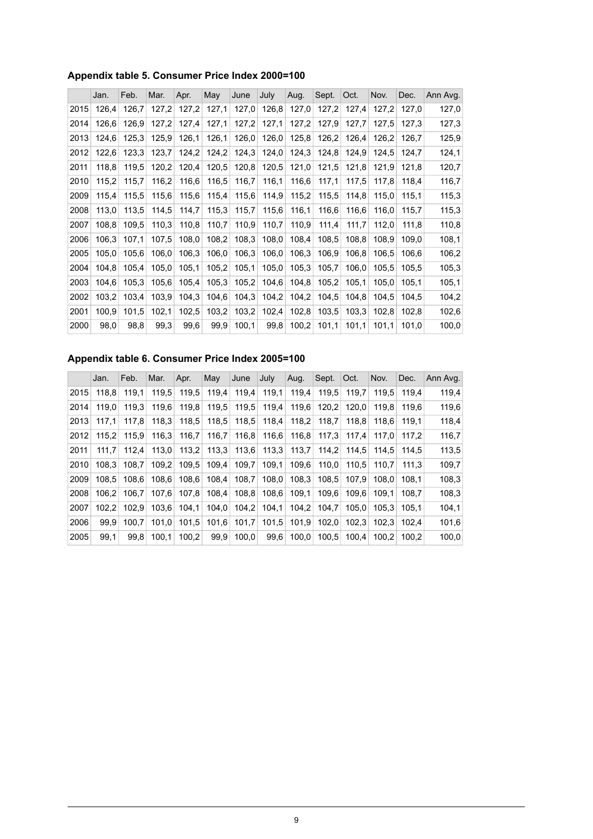### <span id="page-8-0"></span>**Appendix table 5. Consumer Price Index 2000=100**

|      | Jan.  | Feb.  | Mar.  | Apr.  | May   | June  | July  | Aug.  | Sept. | Oct.  | Nov.  | Dec.  | Ann Avg. |
|------|-------|-------|-------|-------|-------|-------|-------|-------|-------|-------|-------|-------|----------|
| 2015 | 126,4 | 126,7 | 127,2 | 127,2 | 127,1 | 127,0 | 126,8 | 127,0 | 127,2 | 127,4 | 127,2 | 127,0 | 127,0    |
| 2014 | 126,6 | 126,9 | 127,2 | 127,4 | 127,1 | 127,2 | 127,1 | 127,2 | 127,9 | 127,7 | 127,5 | 127,3 | 127,3    |
| 2013 | 124,6 | 125,3 | 125,9 | 126,1 | 126,1 | 126,0 | 126,0 | 125,8 | 126,2 | 126,4 | 126,2 | 126,7 | 125,9    |
| 2012 | 122,6 | 123,3 | 123,7 | 124,2 | 124,2 | 124,3 | 124,0 | 124,3 | 124,8 | 124,9 | 124,5 | 124,7 | 124,1    |
| 2011 | 118,8 | 119,5 | 120,2 | 120,4 | 120,5 | 120,8 | 120,5 | 121,0 | 121,5 | 121,8 | 121,9 | 121,8 | 120,7    |
| 2010 | 115,2 | 115,7 | 116,2 | 116,6 | 116,5 | 116,7 | 116,1 | 116,6 | 117,1 | 117,5 | 117,8 | 118,4 | 116,7    |
| 2009 | 115,4 | 115,5 | 115,6 | 115,6 | 115,4 | 115,6 | 114,9 | 115,2 | 115,5 | 114,8 | 115,0 | 115.1 | 115,3    |
| 2008 | 113,0 | 113,5 | 114,5 | 114,7 | 115,3 | 115,7 | 115,6 | 116,1 | 116,6 | 116,6 | 116,0 | 115,7 | 115,3    |
| 2007 | 108,8 | 109,5 | 110.3 | 110,8 | 110,7 | 110,9 | 110,7 | 110,9 | 111,4 | 111,7 | 112,0 | 111,8 | 110,8    |
| 2006 | 106,3 | 107,1 | 107,5 | 108,0 | 108,2 | 108,3 | 108,0 | 108,4 | 108,5 | 108,8 | 108,9 | 109,0 | 108,1    |
| 2005 | 105,0 | 105,6 | 106,0 | 106,3 | 106,0 | 106,3 | 106,0 | 106,3 | 106,9 | 106,8 | 106,5 | 106,6 | 106,2    |
| 2004 | 104,8 | 105,4 | 105,0 | 105,1 | 105,2 | 105,1 | 105,0 | 105,3 | 105,7 | 106,0 | 105,5 | 105,5 | 105,3    |
| 2003 | 104,6 | 105,3 | 105,6 | 105,4 | 105,3 | 105,2 | 104,6 | 104,8 | 105,2 | 105,1 | 105,0 | 105,1 | 105,1    |
| 2002 | 103,2 | 103,4 | 103,9 | 104,3 | 104,6 | 104,3 | 104,2 | 104,2 | 104,5 | 104,8 | 104,5 | 104,5 | 104,2    |
| 2001 | 100,9 | 101,5 | 102,1 | 102,5 | 103,2 | 103,2 | 102,4 | 102,8 | 103,5 | 103,3 | 102,8 | 102,8 | 102,6    |
| 2000 | 98,0  | 98,8  | 99,3  | 99,6  | 99,9  | 100,1 | 99,8  | 100,2 | 101,1 | 101,1 | 101,1 | 101,0 | 100,0    |

### <span id="page-8-1"></span>**Appendix table 6. Consumer Price Index 2005=100**

|      | Jan.  | Feb.  | Mar.  | Apr.  | May   | June  | July  | Aug.  | Sept. | Oct.  | Nov.  | Dec.  | Ann Avg. |
|------|-------|-------|-------|-------|-------|-------|-------|-------|-------|-------|-------|-------|----------|
| 2015 | 118,8 | 119,1 | 119,5 | 119,5 | 119,4 | 119,4 | 119,1 | 119,4 | 119,5 | 119.7 | 119.5 | 119.4 | 119,4    |
| 2014 | 119.0 | 119.3 | 119.6 | 119.8 | 119,5 | 119.5 | 119.4 | 119.6 | 120.2 | 120.0 | 119.8 | 119.6 | 119,6    |
| 2013 | 117.1 | 117.8 | 118.3 | 118,5 | 118,5 | 118,5 | 118,4 | 118,2 | 118.7 | 118.8 | 118.6 | 119.1 | 118,4    |
| 2012 | 115.2 | 115.9 | 116.3 | 116,7 | 116,7 | 116.8 | 116,6 | 116,8 | 117.3 | 117.4 | 117.0 | 117.2 | 116,7    |
| 2011 | 111.7 | 112.4 | 113.0 | 113.2 | 113.3 | 113.6 | 113.3 | 113.7 | 114.2 | 114.5 | 114.5 | 114.5 | 113,5    |
| 2010 | 108.3 | 108.7 | 109.2 | 109.5 | 109.4 | 109.7 | 109,1 | 109.6 | 110.0 | 110.5 | 110.7 | 111.3 | 109,7    |
| 2009 | 108.5 | 108.6 | 108.6 | 108,6 | 108.4 | 108,7 | 108.0 | 108.3 | 108.5 | 107.9 | 108.0 | 108.1 | 108,3    |
| 2008 | 106.2 | 106.7 | 107.6 | 107.8 | 108,4 | 108,8 | 108.6 | 109.1 | 109.6 | 109.6 | 109.1 | 108.7 | 108,3    |
| 2007 | 102.2 | 102.9 | 103.6 | 104,1 | 104,0 | 104,2 | 104,1 | 104,2 | 104,7 | 105.0 | 105,3 | 105.1 | 104,1    |
| 2006 | 99.9  | 100.7 | 101.0 | 101,5 | 101.6 | 101,7 | 101,5 | 101.9 | 102.0 | 102.3 | 102.3 | 102.4 | 101,6    |
| 2005 | 99.1  | 99.8  | 100.1 | 100,2 | 99.9  | 100.0 | 99,6  | 100.0 | 100.5 | 100.4 | 100.2 | 100.2 | 100,0    |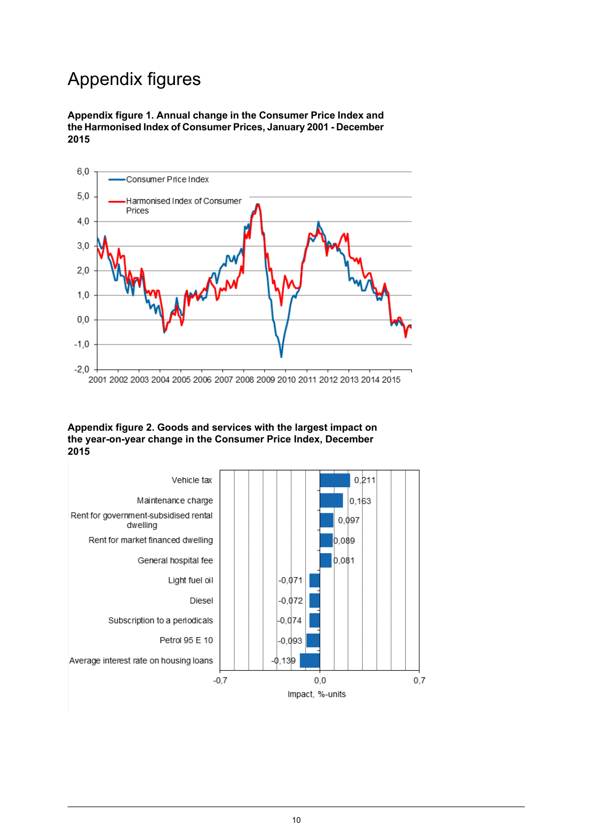# Appendix figures

<span id="page-9-0"></span>**Appendix figure 1. Annual change in the Consumer Price Index and the Harmonised Index of Consumer Prices,January2001- December 2015**



#### <span id="page-9-1"></span>**Appendix figure 2. Goods and services with the largest impact on the year-on-year change in the Consumer Price Index, December 2015**

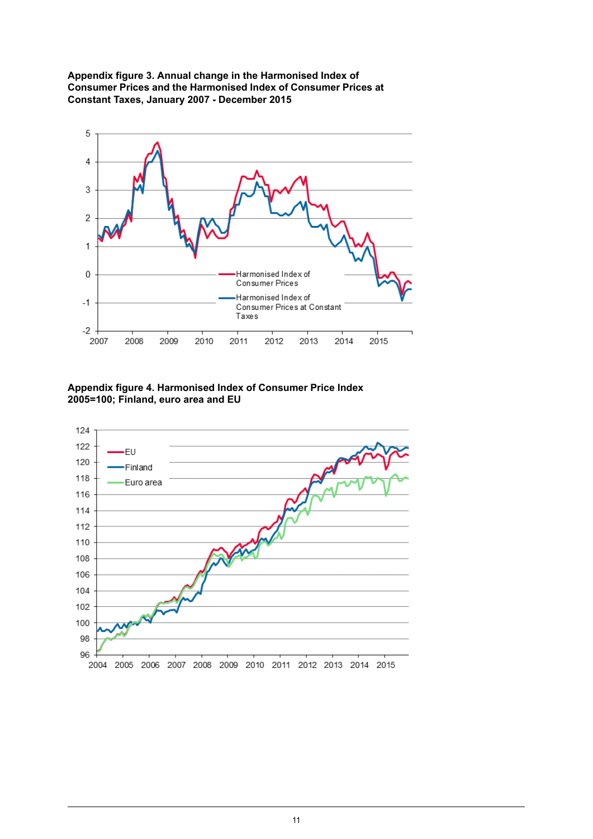<span id="page-10-0"></span>**Appendix figure 3. Annual change in the Harmonised Index of Consumer Prices and the Harmonised Index of Consumer Prices at Constant Taxes, January 2007 - December 2015**



<span id="page-10-1"></span>**Appendix figure 4. Harmonised Index of Consumer Price Index 2005=100; Finland, euro area and EU**